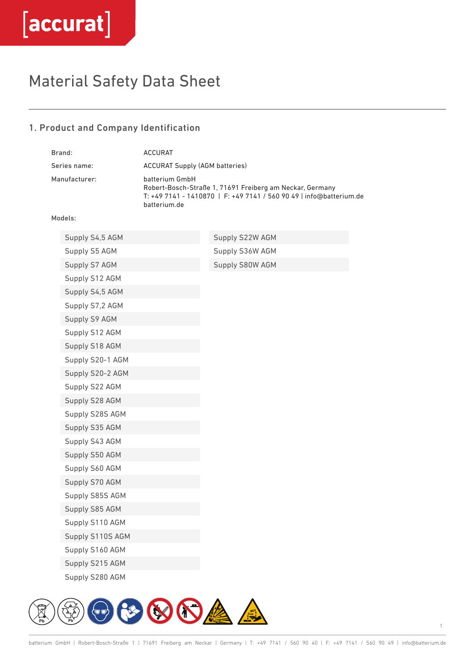# Material Safety Data Sheet

### 1. Product and Company Identification

| Brand:        |                  | <b>ACCURAT</b>                                                                                                                                                    |                 |
|---------------|------------------|-------------------------------------------------------------------------------------------------------------------------------------------------------------------|-----------------|
| Series name:  |                  | <b>ACCURAT Supply (AGM batteries)</b>                                                                                                                             |                 |
| Manufacturer: |                  | batterium GmbH<br>Robert-Bosch-Straße 1, 71691 Freiberg am Neckar, Germany<br>T: +49 7141 - 1410870   F: +49 7141 / 560 90 49   info@batterium.de<br>batterium.de |                 |
|               | Models:          |                                                                                                                                                                   |                 |
|               | Supply S4,5 AGM  |                                                                                                                                                                   | Supply S22W AGM |
|               | Supply S5 AGM    |                                                                                                                                                                   | Supply S36W AGM |
|               | Supply S7 AGM    |                                                                                                                                                                   | Supply S80W AGM |
|               | Supply S12 AGM   |                                                                                                                                                                   |                 |
|               | Supply S4,5 AGM  |                                                                                                                                                                   |                 |
|               | Supply S7,2 AGM  |                                                                                                                                                                   |                 |
|               | Supply S9 AGM    |                                                                                                                                                                   |                 |
|               | Supply S12 AGM   |                                                                                                                                                                   |                 |
|               | Supply S18 AGM   |                                                                                                                                                                   |                 |
|               | Supply S20-1 AGM |                                                                                                                                                                   |                 |
|               | Supply S20-2 AGM |                                                                                                                                                                   |                 |
|               | Supply S22 AGM   |                                                                                                                                                                   |                 |
|               | Supply S28 AGM   |                                                                                                                                                                   |                 |
|               | Supply S28S AGM  |                                                                                                                                                                   |                 |
|               | Supply S35 AGM   |                                                                                                                                                                   |                 |
|               | Supply S43 AGM   |                                                                                                                                                                   |                 |
|               | Supply S50 AGM   |                                                                                                                                                                   |                 |
|               | Supply S60 AGM   |                                                                                                                                                                   |                 |
|               | Supply S70 AGM   |                                                                                                                                                                   |                 |
|               | Supply S85S AGM  |                                                                                                                                                                   |                 |
|               | Supply S85 AGM   |                                                                                                                                                                   |                 |
|               | Supply S110 AGM  |                                                                                                                                                                   |                 |
|               | Supply S110S AGM |                                                                                                                                                                   |                 |
|               | Supply S160 AGM  |                                                                                                                                                                   |                 |
|               | Supply S215 AGM  |                                                                                                                                                                   |                 |
|               | Supply S280 AGM  |                                                                                                                                                                   |                 |

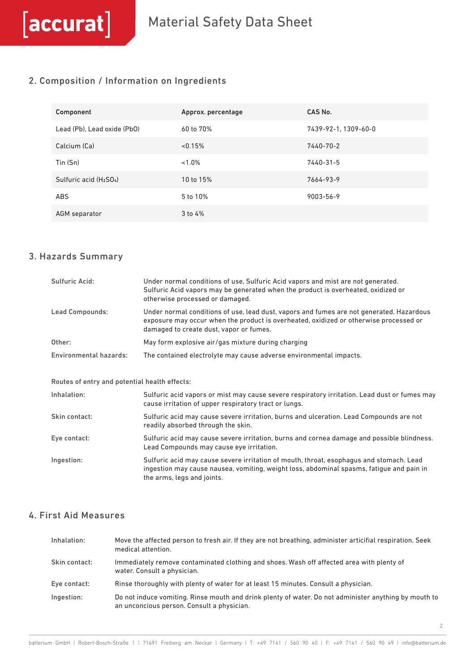### 2. Composition / Information on Ingredients

| Component                                       | Approx. percentage | CAS No.              |
|-------------------------------------------------|--------------------|----------------------|
| Lead (Pb), Lead oxide (PbO)                     | 60 to 70%          | 7439-92-1, 1309-60-0 |
| Calcium (Ca)                                    | < 0.15%            | 7440-70-2            |
| Tin (Sn)                                        | $< 1.0\%$          | 7440-31-5            |
| Sulfuric acid (H <sub>2</sub> SO <sub>4</sub> ) | 10 to 15%          | 7664-93-9            |
| <b>ABS</b>                                      | 5 to 10%           | 9003-56-9            |
| AGM separator                                   | $3$ to $4%$        |                      |

#### 3. Hazards Summary

 $[accurat]$ 

| Sulfuric Acid:                                | Under normal conditions of use, Sulfuric Acid vapors and mist are not generated.<br>Sulfuric Acid vapors may be generated when the product is overheated, oxidized or<br>otherwise processed or damaged.                     |
|-----------------------------------------------|------------------------------------------------------------------------------------------------------------------------------------------------------------------------------------------------------------------------------|
| <b>Lead Compounds:</b>                        | Under normal conditions of use, lead dust, vapors and fumes are not generated. Hazardous<br>exposure may occur when the product is overheated, oxidized or otherwise processed or<br>damaged to create dust, vapor or fumes. |
| Other:                                        | May form explosive air/gas mixture during charging                                                                                                                                                                           |
| <b>Environmental hazards:</b>                 | The contained electrolyte may cause adverse environmental impacts.                                                                                                                                                           |
|                                               |                                                                                                                                                                                                                              |
| Routes of entry and potential health effects: |                                                                                                                                                                                                                              |
| Inhalation:                                   | Sulfuric acid vapors or mist may cause severe respiratory irritation. Lead dust or fumes may<br>cause irritation of upper respiratory tract or lungs.                                                                        |
| Skin contact:                                 | Sulfuric acid may cause severe irritation, burns and ulceration. Lead Compounds are not<br>readily absorbed through the skin.                                                                                                |
| Eye contact:                                  | Sulfuric acid may cause severe irritation, burns and cornea damage and possible blindness.<br>Lead Compounds may cause eye irritation.                                                                                       |
| Ingestion:                                    | Sulfuric acid may cause severe irritation of mouth, throat, esophagus and stomach. Lead<br>ingestion may cause nausea, vomiting, weight loss, abdominal spasms, fatigue and pain in<br>the arms, legs and joints.            |

## 4. First Aid Measures

| Inhalation:   | Move the affected person to fresh air. If they are not breathing, administer articifial respiration. Seek<br>medical attention.                     |
|---------------|-----------------------------------------------------------------------------------------------------------------------------------------------------|
| Skin contact: | Immediately remove contaminated clothing and shoes. Wash off affected area with plenty of<br>water. Consult a physician.                            |
| Eye contact:  | Rinse thoroughly with plenty of water for at least 15 minutes. Consult a physician.                                                                 |
| Ingestion:    | Do not induce vomiting. Rinse mouth and drink plenty of water. Do not administer anything by mouth to<br>an unconcious person. Consult a physician. |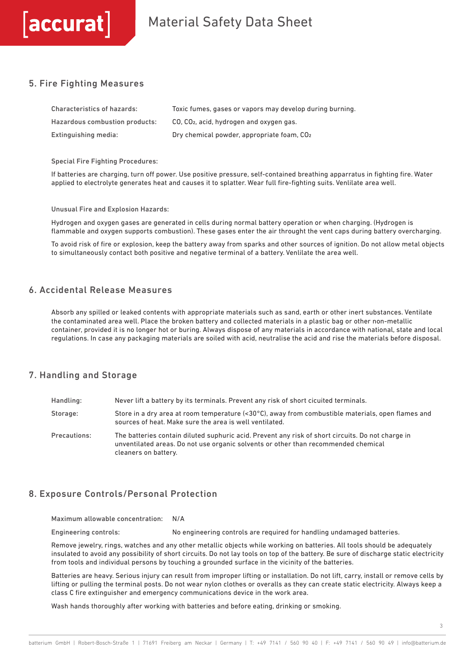# Material Safety Data Sheet

#### 5. Fire Fighting Measures

 $\lceil$ accurat $\rceil$ 

| <b>Characteristics of hazards:</b> | Toxic fumes, gases or vapors may develop during burning. |
|------------------------------------|----------------------------------------------------------|
| Hazardous combustion products:     | CO, CO <sub>2</sub> , acid, hydrogen and oxygen gas.     |
| Extinguishing media:               | Dry chemical powder, appropriate foam, CO <sub>2</sub>   |

Special Fire Fighting Procedures:

If batteries are charging, turn off power. Use positive pressure, self-contained breathing apparratus in fighting fire. Water applied to electrolyte generates heat and causes it to splatter. Wear full fire-fighting suits. Venlilate area well.

Unusual Fire and Explosion Hazards:

Hydrogen and oxygen gases are generated in cells during normal battery operation or when charging. (Hydrogen is flammable and oxygen supports combustion). These gases enter the air throught the vent caps during battery overcharging.

To avoid risk of fire or explosion, keep the battery away from sparks and other sources of ignition. Do not allow metal objects to simultaneously contact both positive and negative terminal of a battery. Venlilate the area well.

#### 6. Accidental Release Measures

Absorb any spilled or leaked contents with appropriate materials such as sand, earth or other inert substances. Ventilate the contaminated area well. Place the broken battery and collected materials in a plastic bag or other non-metallic container, provided it is no longer hot or buring. Always dispose of any materials in accordance with national, state and local regulations. In case any packaging materials are soiled with acid, neutralise the acid and rise the materials before disposal.

#### 7. Handling and Storage

| Handling:    | Never lift a battery by its terminals. Prevent any risk of short cicuited terminals.                                                                                                                            |
|--------------|-----------------------------------------------------------------------------------------------------------------------------------------------------------------------------------------------------------------|
| Storage:     | Store in a dry area at room temperature $\langle 30^{\circ}$ C), away from combustible materials, open flames and<br>sources of heat. Make sure the area is well ventilated.                                    |
| Precautions: | The batteries contain diluted suphuric acid. Prevent any risk of short circuits. Do not charge in<br>unventilated areas. Do not use organic solvents or other than recommended chemical<br>cleaners on battery. |

#### 8. Exposure Controls/Personal Protection

Maximum allowable concentration: N/A

Engineering controls: No engineering controls are required for handling undamaged batteries.

Remove jewelry, rings, watches and any other metallic objects while working on batteries. All tools should be adequately insulated to avoid any possibility of short circuits. Do not lay tools on top of the battery. Be sure of discharge static electricity from tools and individual persons by touching a grounded surface in the vicinity of the batteries.

Batteries are heavy. Serious injury can result from improper lifting or installation. Do not lift, carry, install or remove cells by lifting or pulling the terminal posts. Do not wear nylon clothes or overalls as they can create static electricity. Always keep a class C fire extinguisher and emergency communications device in the work area.

Wash hands thoroughly after working with batteries and before eating, drinking or smoking.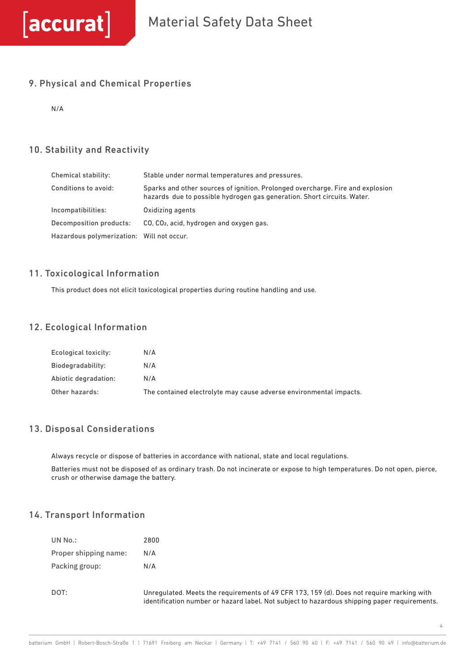### 9. Physical and Chemical Properties

N/A

## 10. Stability and Reactivity

| Chemical stability:                       | Stable under normal temperatures and pressures.                                                                                                           |
|-------------------------------------------|-----------------------------------------------------------------------------------------------------------------------------------------------------------|
| <b>Conditions to avoid:</b>               | Sparks and other sources of ignition. Prolonged overcharge. Fire and explosion<br>hazards due to possible hydrogen gas generation. Short circuits. Water. |
| Incompatibilities:                        | Oxidizing agents                                                                                                                                          |
| Decomposition products:                   | CO, CO <sub>2</sub> , acid, hydrogen and oxygen gas.                                                                                                      |
| Hazardous polymerization: Will not occur. |                                                                                                                                                           |

#### 11. Toxicological Information

This product does not elicit toxicological properties during routine handling and use.

#### 12. Ecological Information

| Ecological toxicity: | N/A                                                                |
|----------------------|--------------------------------------------------------------------|
| Biodegradability:    | N/A                                                                |
| Abiotic degradation: | N/A                                                                |
| Other hazards:       | The contained electrolyte may cause adverse environmental impacts. |

### 13. Disposal Considerations

Always recycle or dispose of batteries in accordance with national, state and local regulations.

Batteries must not be disposed of as ordinary trash. Do not incinerate or expose to high temperatures. Do not open, pierce, crush or otherwise damage the battery.

#### 14. Transport Information

| UN No.:               | 2800  |
|-----------------------|-------|
| Proper shipping name: | N/A   |
| Packing group:        | N/A   |
| DOT:                  | Unreg |

ulated. Meets the requirements of 49 CFR 173, 159 (d). Does not require marking with identification number or hazard label. Not subject to hazardous shipping paper requirements.